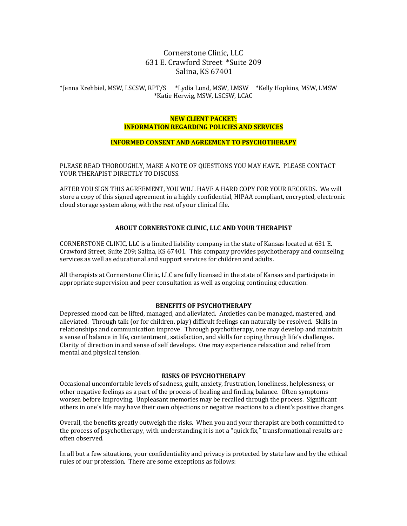## Cornerstone Clinic, LLC 631 E. Crawford Street \*Suite 209 Salina, KS 67401

## \*Jenna Krehbiel, MSW, LSCSW, RPT/S \*Lydia Lund, MSW, LMSW \*Kelly Hopkins, MSW, LMSW \*Katie Herwig, MSW, LSCSW, LCAC

#### **NEW CLIENT PACKET: INFORMATION REGARDING POLICIES AND SERVICES**

#### **INFORMED CONSENT AND AGREEMENT TO PSYCHOTHERAPY**

PLEASE READ THOROUGHLY, MAKE A NOTE OF OUESTIONS YOU MAY HAVE. PLEASE CONTACT YOUR THERAPIST DIRECTLY TO DISCUSS.

AFTER YOU SIGN THIS AGREEMENT, YOU WILL HAVE A HARD COPY FOR YOUR RECORDS. We will store a copy of this signed agreement in a highly confidential, HIPAA compliant, encrypted, electronic cloud storage system along with the rest of your clinical file.

#### **ABOUT CORNERSTONE CLINIC, LLC AND YOUR THERAPIST**

CORNERSTONE CLINIC, LLC is a limited liability company in the state of Kansas located at 631 E. Crawford Street, Suite 209; Salina, KS 67401. This company provides psychotherapy and counseling services as well as educational and support services for children and adults.

All therapists at Cornerstone Clinic, LLC are fully licensed in the state of Kansas and participate in appropriate supervision and peer consultation as well as ongoing continuing education.

#### **BENEFITS OF PSYCHOTHERAPY**

Depressed mood can be lifted, managed, and alleviated. Anxieties can be managed, mastered, and alleviated. Through talk (or for children, play) difficult feelings can naturally be resolved. Skills in relationships and communication improve. Through psychotherapy, one may develop and maintain a sense of balance in life, contentment, satisfaction, and skills for coping through life's challenges. Clarity of direction in and sense of self develops. One may experience relaxation and relief from mental and physical tension.

#### **RISKS OF PSYCHOTHERAPY**

Occasional uncomfortable levels of sadness, guilt, anxiety, frustration, loneliness, helplessness, or other negative feelings as a part of the process of healing and finding balance. Often symptoms worsen before improving. Unpleasant memories may be recalled through the process. Significant others in one's life may have their own objections or negative reactions to a client's positive changes.

Overall, the benefits greatly outweigh the risks. When you and your therapist are both committed to the process of psychotherapy, with understanding it is not a "quick fix," transformational results are often observed.

In all but a few situations, your confidentiality and privacy is protected by state law and by the ethical rules of our profession. There are some exceptions as follows: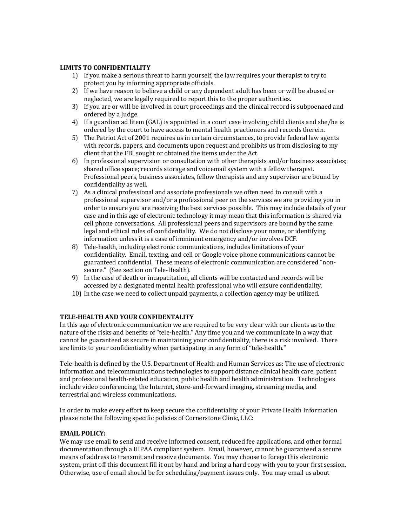## **LIMITS TO CONFIDENTIALITY**

- 1) If you make a serious threat to harm yourself, the law requires your therapist to try to protect you by informing appropriate officials.
- 2) If we have reason to believe a child or any dependent adult has been or will be abused or neglected, we are legally required to report this to the proper authorities.
- 3) If you are or will be involved in court proceedings and the clinical record is subpoenaed and ordered by a Judge.
- 4) If a guardian ad litem (GAL) is appointed in a court case involving child clients and she/he is ordered by the court to have access to mental health practioners and records therein.
- 5) The Patriot Act of 2001 requires us in certain circumstances, to provide federal law agents with records, papers, and documents upon request and prohibits us from disclosing to my client that the FBI sought or obtained the items under the Act.
- 6) In professional supervision or consultation with other therapists and/or business associates; shared office space; records storage and voicemail system with a fellow therapist. Professional peers, business associates, fellow therapists and any supervisor are bound by confidentiality as well.
- 7) As a clinical professional and associate professionals we often need to consult with a professional supervisor and/or a professional peer on the services we are providing you in order to ensure you are receiving the best services possible. This may include details of your case and in this age of electronic technology it may mean that this information is shared via cell phone conversations. All professional peers and supervisors are bound by the same legal and ethical rules of confidentiality. We do not disclose your name, or identifying information unless it is a case of imminent emergency and/or involves DCF.
- 8) Tele-health, including electronic communications, includes limitations of your confidentiality. Email, texting, and cell or Google voice phone communications cannot be guaranteed confidential. These means of electronic communication are considered "nonsecure." (See section on Tele-Health).
- 9) In the case of death or incapacitation, all clients will be contacted and records will be accessed by a designated mental health professional who will ensure confidentiality.
- 10) In the case we need to collect unpaid payments, a collection agency may be utilized.

## **TELE-HEALTH AND YOUR CONFIDENTALITY**

In this age of electronic communication we are required to be very clear with our clients as to the nature of the risks and benefits of "tele-health." Any time you and we communicate in a way that cannot be guaranteed as secure in maintaining your confidentiality, there is a risk involved. There are limits to your confidentiality when participating in any form of "tele-health."

Tele-health is defined by the U.S. Department of Health and Human Services as: The use of electronic information and telecommunications technologies to support distance clinical health care, patient and professional health-related education, public health and health administration. Technologies include video conferencing, the Internet, store-and-forward imaging, streaming media, and terrestrial and wireless communications.

In order to make every effort to keep secure the confidentiality of your Private Health Information please note the following specific policies of Cornerstone Clinic, LLC:

## EMAIL POLICY:

We may use email to send and receive informed consent, reduced fee applications, and other formal documentation through a HIPAA compliant system. Email, however, cannot be guaranteed a secure means of address to transmit and receive documents. You may choose to forego this electronic system, print off this document fill it out by hand and bring a hard copy with you to your first session. Otherwise, use of email should be for scheduling/payment issues only. You may email us about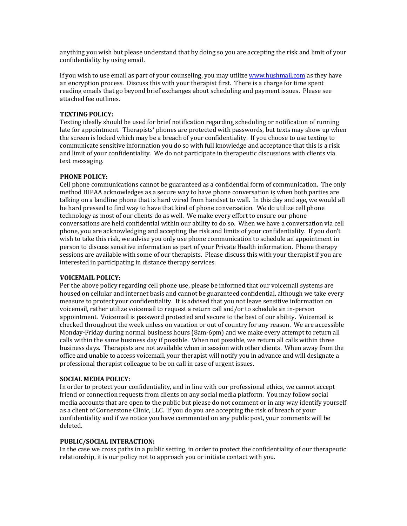anything you wish but please understand that by doing so you are accepting the risk and limit of your confidentiality by using email.

If you wish to use email as part of your counseling, you may utilize www.hushmail.com as they have an encryption process. Discuss this with your therapist first. There is a charge for time spent reading emails that go beyond brief exchanges about scheduling and payment issues. Please see attached fee outlines.

#### **TEXTING POLICY:**

Texting ideally should be used for brief notification regarding scheduling or notification of running late for appointment. Therapists' phones are protected with passwords, but texts may show up when the screen is locked which may be a breach of your confidentiality. If you choose to use texting to communicate sensitive information you do so with full knowledge and acceptance that this is a risk and limit of your confidentiality. We do not participate in therapeutic discussions with clients via text messaging.

## **PHONE POLICY:**

Cell phone communications cannot be guaranteed as a confidential form of communication. The only method HIPAA acknowledges as a secure way to have phone conversation is when both parties are talking on a landline phone that is hard wired from handset to wall. In this day and age, we would all be hard pressed to find way to have that kind of phone conversation. We do utilize cell phone technology as most of our clients do as well. We make every effort to ensure our phone conversations are held confidential within our ability to do so. When we have a conversation via cell phone, you are acknowledging and accepting the risk and limits of your confidentiality. If you don't wish to take this risk, we advise you only use phone communication to schedule an appointment in person to discuss sensitive information as part of your Private Health information. Phone therapy sessions are available with some of our therapists. Please discuss this with your therapist if you are interested in participating in distance therapy services.

#### **VOICEMAIL POLICY:**

Per the above policy regarding cell phone use, please be informed that our voicemail systems are housed on cellular and internet basis and cannot be guaranteed confidential, although we take every measure to protect your confidentiality. It is advised that you not leave sensitive information on voicemail, rather utilize voicemail to request a return call and/or to schedule an in-person appointment. Voicemail is password protected and secure to the best of our ability. Voicemail is checked throughout the week unless on vacation or out of country for any reason. We are accessible Monday-Friday during normal business hours (8am-6pm) and we make every attempt to return all calls within the same business day if possible. When not possible, we return all calls within three business days. Therapists are not available when in session with other clients. When away from the office and unable to access voicemail, your therapist will notify you in advance and will designate a professional therapist colleague to be on call in case of urgent issues.

#### **SOCIAL MEDIA POLICY:**

In order to protect your confidentiality, and in line with our professional ethics, we cannot accept friend or connection requests from clients on any social media platform. You may follow social media accounts that are open to the public but please do not comment or in any way identify yourself as a client of Cornerstone Clinic, LLC. If you do you are accepting the risk of breach of your confidentiality and if we notice you have commented on any public post, your comments will be deleted.

#### **PUBLIC/SOCIAL INTERACTION:**

In the case we cross paths in a public setting, in order to protect the confidentiality of our therapeutic relationship, it is our policy not to approach you or initiate contact with you.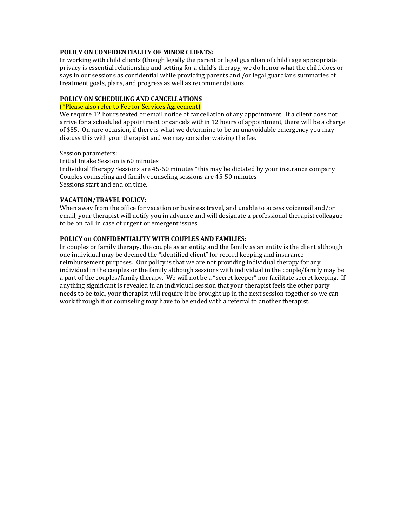## **POLICY ON CONFIDENTIALITY OF MINOR CLIENTS:**

In working with child clients (though legally the parent or legal guardian of child) age appropriate privacy is essential relationship and setting for a child's therapy, we do honor what the child does or says in our sessions as confidential while providing parents and /or legal guardians summaries of treatment goals, plans, and progress as well as recommendations.

## **POLICY ON SCHEDULING AND CANCELLATIONS**

## (\*Please also refer to Fee for Services Agreement)

We require 12 hours texted or email notice of cancellation of any appointment. If a client does not arrive for a scheduled appointment or cancels within 12 hours of appointment, there will be a charge of \$55. On rare occasion, if there is what we determine to be an unavoidable emergency you may discuss this with your therapist and we may consider waiving the fee.

Session parameters:

Initial Intake Session is 60 minutes

Individual Therapy Sessions are 45-60 minutes \*this may be dictated by your insurance company Couples counseling and family counseling sessions are 45-50 minutes Sessions start and end on time.

#### **VACATION/TRAVEL POLICY:**

When away from the office for vacation or business travel, and unable to access voicemail and/or email, your therapist will notify you in advance and will designate a professional therapist colleague to be on call in case of urgent or emergent issues.

#### **POLICY ON CONFIDENTIALITY WITH COUPLES AND FAMILIES:**

In couples or family therapy, the couple as an entity and the family as an entity is the client although one individual may be deemed the "identified client" for record keeping and insurance reimbursement purposes. Our policy is that we are not providing individual therapy for any individual in the couples or the family although sessions with individual in the couple/family may be a part of the couples/family therapy. We will not be a "secret keeper" nor facilitate secret keeping. If anything significant is revealed in an individual session that your therapist feels the other party needs to be told, your therapist will require it be brought up in the next session together so we can work through it or counseling may have to be ended with a referral to another therapist.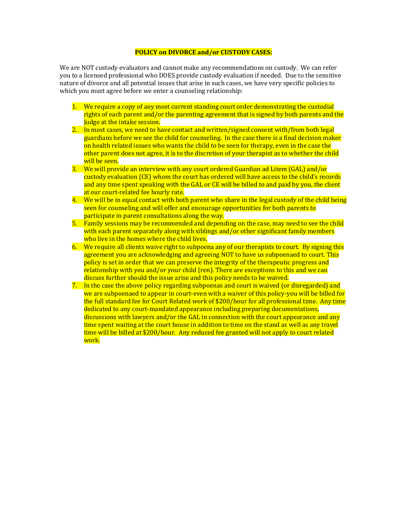## **POLICY on DIVORCE and/or CUSTODY CASES:**

We are NOT custody evaluators and cannot make any recommendations on custody. We can refer you to a licensed professional who DOES provide custody evaluation if needed. Due to the sensitive nature of divorce and all potential issues that arise in such cases, we have very specific policies to which you must agree before we enter a counseling relationship:

- 1. We require a copy of any most current standing court order demonstrating the custodial rights of each parent and/or the parenting agreement that is signed by both parents and the **Judge at the intake session.**
- 2. In most cases, we need to have contact and written/signed consent with/from both legal guardians before we see the child for counseling. In the case there is a final decision maker on health related issues who wants the child to be seen for therapy, even in the case the other parent does not agree, it is to the discretion of your therapist as to whether the child will be seen.
- 3. We will provide an interview with any court ordered Guardian ad Litem (GAL) and/or custody evaluation (CE) whom the court has ordered will have access to the child's records and any time spent speaking with the GAL or CE will be billed to and paid by you, the client at our court-related fee hourly rate.
- 4. We will be in equal contact with both parent who share in the legal custody of the child being seen for counseling and will offer and encourage opportunities for both parents to participate in parent consultations along the way.
- 5. Family sessions may be recommended and depending on the case, may need to see the child with each parent separately along with siblings and/or other significant family members who live in the homes where the child lives.
- 6. We require all clients waive right to subpoena any of our therapists to court. By signing this agreement you are acknowledging and agreeing NOT to have us subpoenaed to court. This policy is set in order that we can preserve the integrity of the therapeutic progress and  $relationship with you and/or your child (ren). There are exceptions to this and we can$ discuss further should the issue arise and this policy needs to be waived.
- 7. In the case the above policy regarding subpoenas and court is waived (or disregarded) and we are subpoenaed to appear in court-even with a waiver of this policy-you will be billed for the full standard fee for Court Related work of \$200/hour for all professional time. Any time dedicated to any court-mandated appearance including preparing documentations, discussions with lawyers and/or the GAL in connection with the court appearance and any time spent waiting at the court house in addition to time on the stand as well as any travel time will be billed at \$200/hour. Any reduced fee granted will not apply to court related work.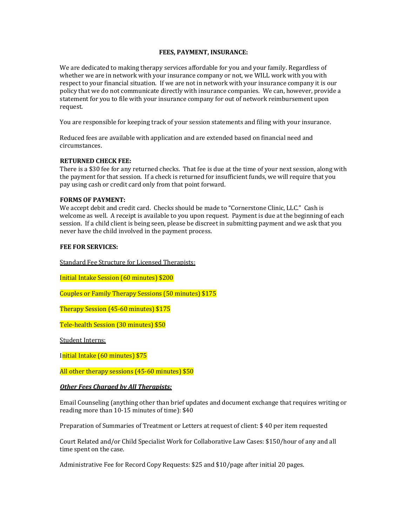#### **FEES, PAYMENT, INSURANCE:**

We are dedicated to making therapy services affordable for you and your family. Regardless of whether we are in network with your insurance company or not, we WILL work with you with respect to your financial situation. If we are not in network with your insurance company it is our policy that we do not communicate directly with insurance companies. We can, however, provide a statement for you to file with your insurance company for out of network reimbursement upon request.

You are responsible for keeping track of your session statements and filing with your insurance.

Reduced fees are available with application and are extended based on financial need and circumstances.

## **RETURNED CHECK FEE:**

There is a \$30 fee for any returned checks. That fee is due at the time of your next session, along with the payment for that session. If a check is returned for insufficient funds, we will require that you pay using cash or credit card only from that point forward.

#### **FORMS OF PAYMENT:**

We accept debit and credit card. Checks should be made to "Cornerstone Clinic, LLC." Cash is welcome as well. A receipt is available to you upon request. Payment is due at the beginning of each session. If a child client is being seen, please be discreet in submitting payment and we ask that you never have the child involved in the payment process.

#### **FEE FOR SERVICES:**

Standard Fee Structure for Licensed Therapists:

Initial Intake Session (60 minutes) \$200

Couples or Family Therapy Sessions (50 minutes) \$175

Therapy Session (45-60 minutes) \$175

Tele-health Session (30 minutes) \$50

Student Interns:

Initial Intake (60 minutes) \$75

All other therapy sessions  $(45-60 \text{ minutes})$  \$50

#### **Other Fees Charged by All Therapists:**

Email Counseling (anything other than brief updates and document exchange that requires writing or reading more than  $10-15$  minutes of time):  $$40$ 

Preparation of Summaries of Treatment or Letters at request of client: \$40 per item requested

Court Related and/or Child Specialist Work for Collaborative Law Cases: \$150/hour of any and all time spent on the case.

Administrative Fee for Record Copy Requests: \$25 and \$10/page after initial 20 pages.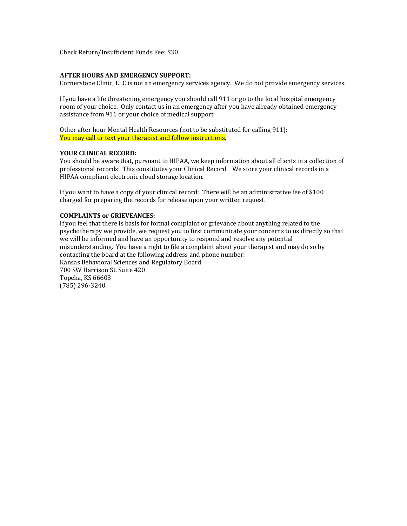Check Return/Insufficient Funds Fee: \$30

#### **AFTER HOURS AND EMERGENCY SUPPORT:**

Cornerstone Clinic, LLC is not an emergency services agency. We do not provide emergency services.

If you have a life threatening emergency you should call 911 or go to the local hospital emergency room of your choice. Only contact us in an emergency after you have already obtained emergency assistance from 911 or your choice of medical support.

Other after hour Mental Health Resources (not to be substituted for calling 911): You may call or text your therapist and follow instructions.

## **YOUR CLINICAL RECORD:**

You should be aware that, pursuant to HIPAA, we keep information about all clients in a collection of professional records. This constitutes your Clinical Record. We store your clinical records in a HIPAA compliant electronic cloud storage location.

If you want to have a copy of your clinical record: There will be an administrative fee of  $$100$ charged for preparing the records for release upon your written request.

#### **COMPLAINTS or GRIEVEANCES:**

If you feel that there is basis for formal complaint or grievance about anything related to the psychotherapy we provide, we request you to first communicate your concerns to us directly so that we will be informed and have an opportunity to respond and resolve any potential misunderstanding. You have a right to file a complaint about your therapist and may do so by contacting the board at the following address and phone number: Kansas Behavioral Sciences and Regulatory Board 700 SW Harrison St. Suite 420 Topeka, KS 66603 (785) 296-3240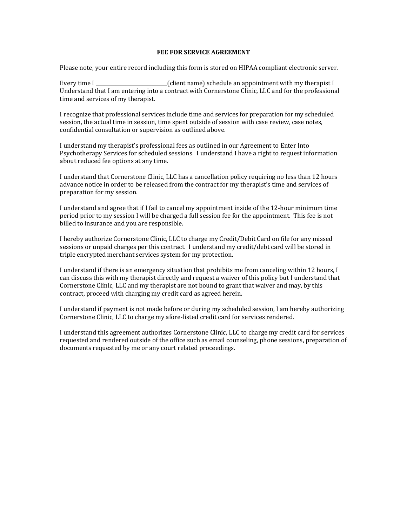## **FEE FOR SERVICE AGREEMENT**

Please note, your entire record including this form is stored on HIPAA compliant electronic server.

Every time I \_\_\_\_\_\_\_\_\_\_\_\_\_\_\_\_\_\_\_\_\_\_\_\_\_\_\_\_\_(client name) schedule an appointment with my therapist I Understand that I am entering into a contract with Cornerstone Clinic, LLC and for the professional time and services of my therapist.

I recognize that professional services include time and services for preparation for my scheduled session, the actual time in session, time spent outside of session with case review, case notes, confidential consultation or supervision as outlined above.

I understand my therapist's professional fees as outlined in our Agreement to Enter Into Psychotherapy Services for scheduled sessions. I understand I have a right to request information about reduced fee options at any time.

I understand that Cornerstone Clinic, LLC has a cancellation policy requiring no less than 12 hours advance notice in order to be released from the contract for my therapist's time and services of preparation for my session.

I understand and agree that if I fail to cancel my appointment inside of the 12-hour minimum time period prior to my session I will be charged a full session fee for the appointment. This fee is not billed to insurance and you are responsible.

I hereby authorize Cornerstone Clinic, LLC to charge my Credit/Debit Card on file for any missed sessions or unpaid charges per this contract. I understand my credit/debt card will be stored in triple encrypted merchant services system for my protection.

I understand if there is an emergency situation that prohibits me from canceling within 12 hours, I can discuss this with my therapist directly and request a waiver of this policy but I understand that Cornerstone Clinic, LLC and my therapist are not bound to grant that waiver and may, by this contract, proceed with charging my credit card as agreed herein.

I understand if payment is not made before or during my scheduled session, I am hereby authorizing Cornerstone Clinic, LLC to charge my afore-listed credit card for services rendered.

I understand this agreement authorizes Cornerstone Clinic, LLC to charge my credit card for services requested and rendered outside of the office such as email counseling, phone sessions, preparation of documents requested by me or any court related proceedings.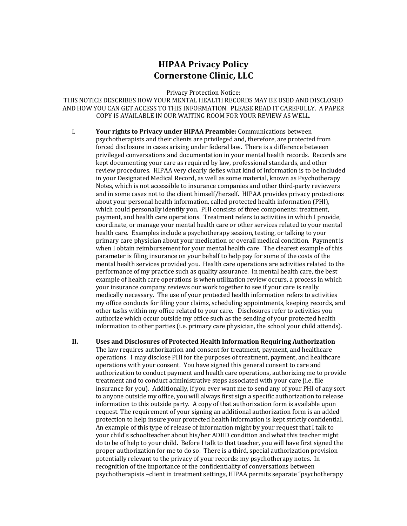# **HIPAA Privacy Policy Cornerstone Clinic, LLC**

Privacy Protection Notice:

THIS NOTICE DESCRIBES HOW YOUR MENTAL HEALTH RECORDS MAY BE USED AND DISCLOSED AND HOW YOU CAN GET ACCESS TO THIS INFORMATION. PLEASE READ IT CAREFULLY. A PAPER COPY IS AVAILABLE IN OUR WAITING ROOM FOR YOUR REVIEW AS WELL.

I. **Your rights to Privacy under HIPAA Preamble:** Communications between psychotherapists and their clients are privileged and, therefore, are protected from forced disclosure in cases arising under federal law. There is a difference between privileged conversations and documentation in your mental health records. Records are kept documenting your care as required by law, professional standards, and other review procedures. HIPAA very clearly defies what kind of information is to be included in your Designated Medical Record, as well as some material, known as Psychotherapy Notes, which is not accessible to insurance companies and other third-party reviewers and in some cases not to the client himself/herself. HIPAA provides privacy protections about your personal health information, called protected health information (PHI), which could personally identify you. PHI consists of three components: treatment, payment, and health care operations. Treatment refers to activities in which I provide, coordinate, or manage your mental health care or other services related to your mental health care. Examples include a psychotherapy session, testing, or talking to your primary care physician about your medication or overall medical condition. Payment is when I obtain reimbursement for your mental health care. The clearest example of this parameter is filing insurance on your behalf to help pay for some of the costs of the mental health services provided you. Health care operations are activities related to the performance of my practice such as quality assurance. In mental health care, the best example of health care operations is when utilization review occurs, a process in which your insurance company reviews our work together to see if your care is really medically necessary. The use of your protected health information refers to activities my office conducts for filing your claims, scheduling appointments, keeping records, and other tasks within my office related to your care. Disclosures refer to activities you authorize which occur outside my office such as the sending of your protected health information to other parties (i.e. primary care physician, the school your child attends).

**II.** Uses and Disclosures of Protected Health Information Requiring Authorization The law requires authorization and consent for treatment, payment, and healthcare operations. I may disclose PHI for the purposes of treatment, payment, and healthcare operations with your consent. You have signed this general consent to care and authorization to conduct payment and health care operations, authorizing me to provide treatment and to conduct administrative steps associated with your care (i.e. file insurance for you). Additionally, if you ever want me to send any of your PHI of any sort to anyone outside my office, you will always first sign a specific authorization to release information to this outside party. A copy of that authorization form is available upon request. The requirement of your signing an additional authorization form is an added protection to help insure your protected health information is kept strictly confidential. An example of this type of release of information might by your request that I talk to your child's schoolteacher about his/her ADHD condition and what this teacher might do to be of help to your child. Before I talk to that teacher, you will have first signed the proper authorization for me to do so. There is a third, special authorization provision potentially relevant to the privacy of your records: my psychotherapy notes. In recognition of the importance of the confidentiality of conversations between psychotherapists -client in treatment settings, HIPAA permits separate "psychotherapy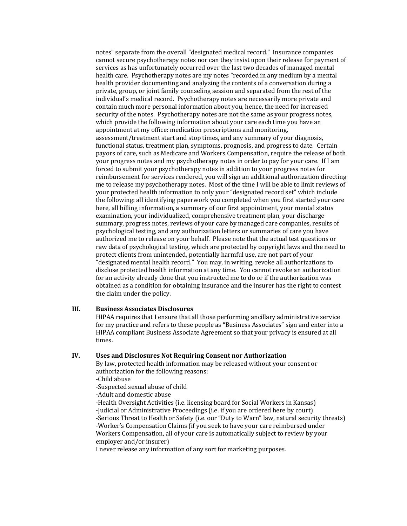notes" separate from the overall "designated medical record." Insurance companies cannot secure psychotherapy notes nor can they insist upon their release for payment of services as has unfortunately occurred over the last two decades of managed mental health care. Psychotherapy notes are my notes "recorded in any medium by a mental health provider documenting and analyzing the contents of a conversation during a private, group, or joint family counseling session and separated from the rest of the individual's medical record. Psychotherapy notes are necessarily more private and contain much more personal information about you, hence, the need for increased security of the notes. Psychotherapy notes are not the same as your progress notes, which provide the following information about your care each time you have an appointment at my office: medication prescriptions and monitoring, assessment/treatment start and stop times, and any summary of your diagnosis, functional status, treatment plan, symptoms, prognosis, and progress to date. Certain payors of care, such as Medicare and Workers Compensation, require the release of both your progress notes and my psychotherapy notes in order to pay for your care. If I am forced to submit your psychotherapy notes in addition to your progress notes for reimbursement for services rendered, you will sign an additional authorization directing me to release my psychotherapy notes. Most of the time I will be able to limit reviews of your protected health information to only your "designated record set" which include the following: all identifying paperwork you completed when you first started your care here, all billing information, a summary of our first appointment, your mental status examination, your individualized, comprehensive treatment plan, your discharge summary, progress notes, reviews of your care by managed care companies, results of psychological testing, and any authorization letters or summaries of care you have authorized me to release on your behalf. Please note that the actual test questions or raw data of psychological testing, which are protected by copyright laws and the need to protect clients from unintended, potentially harmful use, are not part of your "designated mental health record." You may, in writing, revoke all authorizations to disclose protected health information at any time. You cannot revoke an authorization for an activity already done that you instructed me to do or if the authorization was obtained as a condition for obtaining insurance and the insurer has the right to contest the claim under the policy.

#### **III. Business Associates Disclosures**

HIPAA requires that I ensure that all those performing ancillary administrative service for my practice and refers to these people as "Business Associates" sign and enter into a HIPAA compliant Business Associate Agreement so that your privacy is ensured at all times.

#### **IV. Uses and Disclosures Not Requiring Consent nor Authorization**

By law, protected health information may be released without your consent or authorization for the following reasons:

-Child abuse

-Suspected sexual abuse of child

-Adult and domestic abuse

-Health Oversight Activities (i.e. licensing board for Social Workers in Kansas)

-Judicial or Administrative Proceedings (i.e. if you are ordered here by court)

-Serious Threat to Health or Safety (i.e. our "Duty to Warn" law, natural security threats) -Worker's Compensation Claims (if you seek to have your care reimbursed under

Workers Compensation, all of your care is automatically subject to review by your employer and/or insurer)

I never release any information of any sort for marketing purposes.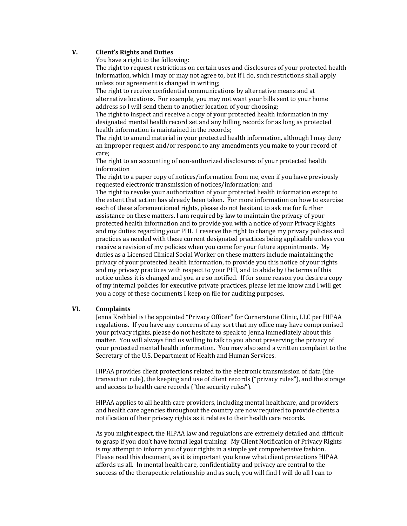## **V. Client's Rights and Duties**

You have a right to the following:

The right to request restrictions on certain uses and disclosures of your protected health information, which I may or may not agree to, but if I do, such restrictions shall apply unless our agreement is changed in writing;

The right to receive confidential communications by alternative means and at alternative locations. For example, you may not want your bills sent to your home address so I will send them to another location of your choosing;

The right to inspect and receive a copy of your protected health information in my designated mental health record set and any billing records for as long as protected health information is maintained in the records:

The right to amend material in your protected health information, although I may deny an improper request and/or respond to any amendments you make to your record of care;

The right to an accounting of non-authorized disclosures of your protected health information

The right to a paper copy of notices/information from me, even if you have previously requested electronic transmission of notices/information; and

The right to revoke your authorization of your protected health information except to the extent that action has already been taken. For more information on how to exercise each of these aforementioned rights, please do not hesitant to ask me for further assistance on these matters. I am required by law to maintain the privacy of your protected health information and to provide you with a notice of your Privacy Rights and my duties regarding your PHI. I reserve the right to change my privacy policies and practices as needed with these current designated practices being applicable unless you receive a revision of my policies when you come for your future appointments. My duties as a Licensed Clinical Social Worker on these matters include maintaining the privacy of your protected health information, to provide you this notice of your rights and my privacy practices with respect to your PHI, and to abide by the terms of this notice unless it is changed and you are so notified. If for some reason you desire a copy of my internal policies for executive private practices, please let me know and I will get you a copy of these documents I keep on file for auditing purposes.

## **VI. Complaints**

Jenna Krehbiel is the appointed "Privacy Officer" for Cornerstone Clinic, LLC per HIPAA regulations. If you have any concerns of any sort that my office may have compromised your privacy rights, please do not hesitate to speak to Jenna immediately about this matter. You will always find us willing to talk to you about preserving the privacy of your protected mental health information. You may also send a written complaint to the Secretary of the U.S. Department of Health and Human Services.

HIPAA provides client protections related to the electronic transmission of data (the transaction rule), the keeping and use of client records ("privacy rules"), and the storage and access to health care records ("the security rules").

HIPAA applies to all health care providers, including mental healthcare, and providers and health care agencies throughout the country are now required to provide clients a notification of their privacy rights as it relates to their health care records.

As you might expect, the HIPAA law and regulations are extremely detailed and difficult to grasp if you don't have formal legal training. My Client Notification of Privacy Rights is my attempt to inform you of your rights in a simple yet comprehensive fashion. Please read this document, as it is important you know what client protections HIPAA affords us all. In mental health care, confidentiality and privacy are central to the success of the therapeutic relationship and as such, you will find I will do all I can to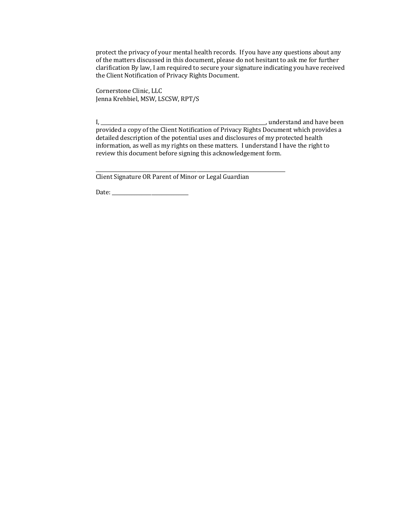protect the privacy of your mental health records. If you have any questions about any of the matters discussed in this document, please do not hesitant to ask me for further  $clarification By law, I am required to secure your signature indictating you have received$ the Client Notification of Privacy Rights Document.

Cornerstone Clinic, LLC Jenna Krehbiel, MSW, LSCSW, RPT/S

I, \_\_\_\_\_\_\_\_\_\_\_\_\_\_\_\_\_\_\_\_\_\_\_\_\_\_\_\_\_\_\_\_\_\_\_\_\_\_\_\_\_\_\_\_\_\_\_\_\_\_\_\_\_\_\_\_\_\_\_\_\_\_\_\_\_\_\_, understand and have been provided a copy of the Client Notification of Privacy Rights Document which provides a detailed description of the potential uses and disclosures of my protected health information, as well as my rights on these matters. I understand I have the right to review this document before signing this acknowledgement form.

Client Signature OR Parent of Minor or Legal Guardian

\_\_\_\_\_\_\_\_\_\_\_\_\_\_\_\_\_\_\_\_\_\_\_\_\_\_\_\_\_\_\_\_\_\_\_\_\_\_\_\_\_\_\_\_\_\_\_\_\_\_\_\_\_\_\_\_\_\_\_\_\_\_\_\_\_\_\_\_\_\_\_\_\_\_\_\_\_

Date: \_\_\_\_\_\_\_\_\_\_\_\_\_\_\_\_\_\_\_\_\_\_\_\_\_\_\_\_\_\_\_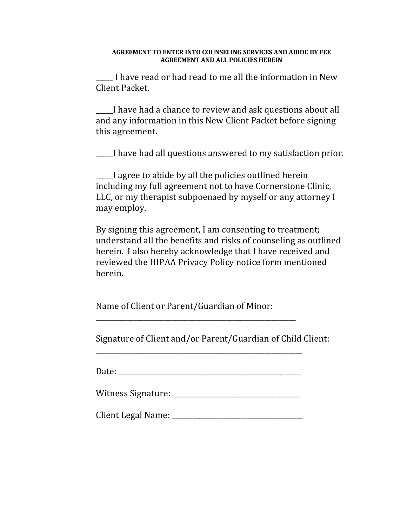## **AGREEMENT TO ENTER INTO COUNSELING SERVICES AND ABIDE BY FEE AGREEMENT AND ALL POLICIES HEREIN**

I have read or had read to me all the information in New Client Packet.

I have had a chance to review and ask questions about all and any information in this New Client Packet before signing this agreement.

I have had all questions answered to my satisfaction prior.

I agree to abide by all the policies outlined herein including my full agreement not to have Cornerstone Clinic, LLC, or my therapist subpoenaed by myself or any attorney I may employ.

By signing this agreement, I am consenting to treatment; understand all the benefits and risks of counseling as outlined herein. I also hereby acknowledge that I have received and reviewed the HIPAA Privacy Policy notice form mentioned herein.

Name of Client or Parent/Guardian of Minor:

Signature of Client and/or Parent/Guardian of Child Client:

Date: \_\_\_\_\_\_\_\_\_\_\_\_\_\_\_\_\_\_\_\_\_\_\_\_\_\_\_\_\_\_\_\_\_\_\_\_\_\_\_\_\_\_\_\_\_\_\_\_\_\_\_\_\_

\_\_\_\_\_\_\_\_\_\_\_\_\_\_\_\_\_\_\_\_\_\_\_\_\_\_\_\_\_\_\_\_\_\_\_\_\_\_\_\_\_\_\_\_\_\_\_\_\_\_\_\_\_\_\_\_\_\_\_\_

\_\_\_\_\_\_\_\_\_\_\_\_\_\_\_\_\_\_\_\_\_\_\_\_\_\_\_\_\_\_\_\_\_\_\_\_\_\_\_\_\_\_\_\_\_\_\_\_\_\_\_\_\_\_\_\_\_\_

| Witness Signature: |  |
|--------------------|--|
|--------------------|--|

Client Legal Name: \_\_\_\_\_\_\_\_\_\_\_\_\_\_\_\_\_\_\_\_\_\_\_\_\_\_\_\_\_\_\_\_\_\_\_\_\_\_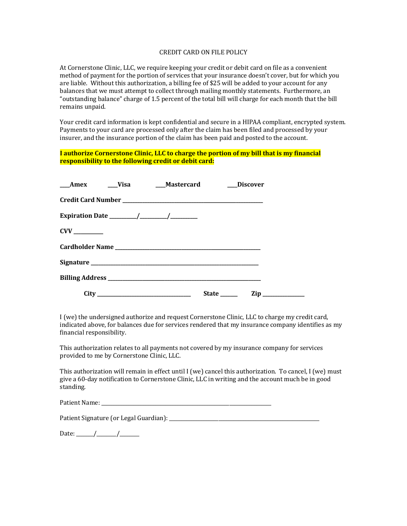#### CREDIT CARD ON FILE POLICY

At Cornerstone Clinic, LLC, we require keeping your credit or debit card on file as a convenient method of payment for the portion of services that your insurance doesn't cover, but for which you are liable. Without this authorization, a billing fee of \$25 will be added to your account for any balances that we must attempt to collect through mailing monthly statements. Furthermore, an "outstanding balance" charge of 1.5 percent of the total bill will charge for each month that the bill remains unpaid.

Your credit card information is kept confidential and secure in a HIPAA compliant, encrypted system. Payments to your card are processed only after the claim has been filed and processed by your insurer, and the insurance portion of the claim has been paid and posted to the account.

## **I** authorize Cornerstone Clinic, LLC to charge the portion of my bill that is my financial **responsibility to the following credit or debit card:**

|  | ___Amex ____Visa ____Mastercard |              | <b>Discover</b> |
|--|---------------------------------|--------------|-----------------|
|  |                                 |              |                 |
|  |                                 |              |                 |
|  |                                 |              |                 |
|  |                                 |              |                 |
|  |                                 |              |                 |
|  |                                 |              |                 |
|  |                                 | State ______ | $\mathbf{Zip}$  |

I (we) the undersigned authorize and request Cornerstone Clinic, LLC to charge my credit card, indicated above, for balances due for services rendered that my insurance company identifies as my financial responsibility.

This authorization relates to all payments not covered by my insurance company for services provided to me by Cornerstone Clinic, LLC.

This authorization will remain in effect until  $I$  (we) cancel this authorization. To cancel,  $I$  (we) must give a 60-day notification to Cornerstone Clinic, LLC in writing and the account much be in good standing.

Patient Name: \_\_\_\_\_\_\_\_\_\_\_\_\_\_\_\_\_\_\_\_\_\_\_\_\_\_\_\_\_\_\_\_\_\_\_\_\_\_\_\_\_\_\_\_\_\_\_\_\_\_\_\_\_\_\_\_\_\_\_\_\_\_\_\_\_\_\_\_\_

Patient Signature (or Legal Guardian): \_\_\_\_\_\_\_\_\_\_\_\_\_\_\_\_\_\_\_\_\_\_\_\_\_\_\_\_\_\_\_\_\_\_\_\_\_\_\_\_\_\_\_\_\_\_\_\_\_\_\_\_\_\_\_\_\_\_\_\_\_

| Date: |  |  |  |
|-------|--|--|--|
|-------|--|--|--|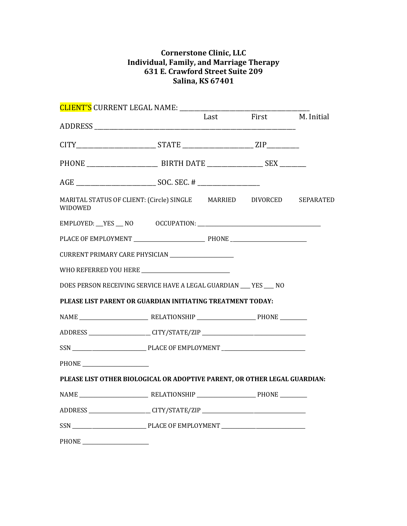# **Cornerstone Clinic, LLC Individual, Family, and Marriage Therapy 631 E. Crawford Street Suite 209 Salina, KS 67401**

| <b>CLIENT'S CURRENT LEGAL NAME:</b>                                             | Last | First | M. Initial |
|---------------------------------------------------------------------------------|------|-------|------------|
|                                                                                 |      |       |            |
|                                                                                 |      |       |            |
|                                                                                 |      |       |            |
|                                                                                 |      |       |            |
| MARITAL STATUS OF CLIENT: (Circle) SINGLE MARRIED DIVORCED SEPARATED<br>WIDOWED |      |       |            |
|                                                                                 |      |       |            |
|                                                                                 |      |       |            |
| CURRENT PRIMARY CARE PHYSICIAN ______________________                           |      |       |            |
|                                                                                 |      |       |            |
| DOES PERSON RECEIVING SERVICE HAVE A LEGAL GUARDIAN ___ YES ___ NO              |      |       |            |
| PLEASE LIST PARENT OR GUARDIAN INITIATING TREATMENT TODAY:                      |      |       |            |
| NAME PHONE PHONE                                                                |      |       |            |
|                                                                                 |      |       |            |
|                                                                                 |      |       |            |
|                                                                                 |      |       |            |
| PLEASE LIST OTHER BIOLOGICAL OR ADOPTIVE PARENT, OR OTHER LEGAL GUARDIAN:       |      |       |            |
|                                                                                 |      |       |            |
|                                                                                 |      |       |            |
|                                                                                 |      |       |            |
| PHONE<br><u> 1989 - Johann John Stein, fransk politik (d. 1989)</u>             |      |       |            |